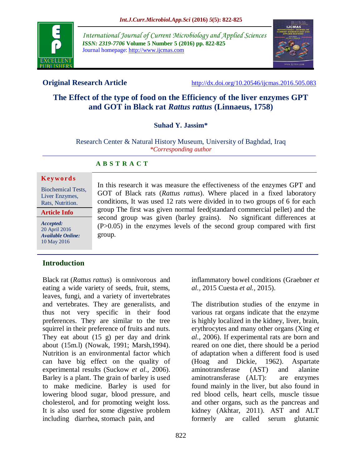

*International Journal of Current Microbiology and Applied Sciences ISSN: 2319-7706* **Volume 5 Number 5 (2016) pp. 822-825** Journal homepage: http://www.ijcmas.com



**Original Research Article** <http://dx.doi.org/10.20546/ijcmas.2016.505.083>

# **The Effect of the type of food on the Efficiency of the liver enzymes GPT and GOT in Black rat** *Rattus rattus* **(Linnaeus, 1758)**

# **Suhad Y. Jassim\***

#### Research Center & Natural History Museum, University of Baghdad, Iraq *\*Corresponding author*

In this research it was measure the effectiveness of the enzymes GPT and GOT of Black rats (*Rattus rattus*). Where placed in a fixed laboratory conditions, It was used 12 rats were divided in to two groups of 6 for each group The first was given normal feed(standard commercial pellet) and the second group was given (barley grains). No significant differences at  $(P>0.05)$  in the enzymes levels of the second group compared with first

# **A B S T R A C T**

#### **K ey w o rd s**

Biochemical Tests, Liver Enzymes, Rats, Nutrition.

**Article Info**

*Accepted:*  20 April 2016 *Available Online:* 10 May 2016

# **Introduction**

Black rat (*Rattus rattus*) is omnivorous and eating a wide variety of seeds, fruit, stems, leaves, fungi, and a variety of invertebrates and vertebrates. They are generalists, and thus not very specific in their food preferences. They are similar to the tree squirrel in their preference of fruits and nuts. They eat about (15 g) per day and drink about (15m.l) (Nowak, 1991; Marsh,1994). Nutrition is an environmental factor which can have big effect on the quality of experimental results (Suckow *et al.,* 2006). Barley is a plant. The grain of barley is used to make medicine. Barley is used for lowering blood sugar, blood pressure, and cholesterol, and for promoting weight loss. It is also used for some digestive problem including diarrhea, stomach pain, and

group.

inflammatory bowel conditions (Graebner *et al.,* 2015 Cuesta *et al.,* 2015).

The distribution studies of the enzyme in various rat organs indicate that the enzyme is highly localized in the kidney, liver, brain, erythrocytes and many other organs (Xing *et al.,* 2006). If experimental rats are born and reared on one diet, there should be a period of adaptation when a different food is used (Hoag and Dickie, 1962). Aspartate aminotransferase (AST) and alanine aminotransferase (ALT): are enzymes found mainly in the liver, but also found in red blood cells, heart cells, muscle tissue and other organs, such as the pancreas and kidney (Akhtar, 2011). AST and ALT formerly are called serum glutamic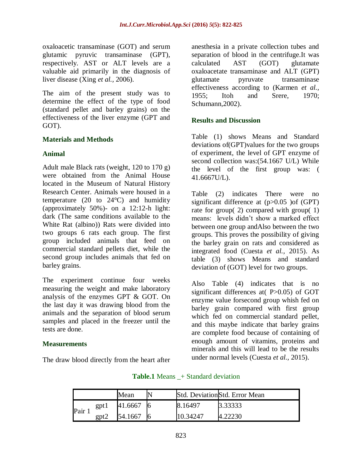oxaloacetic transaminase (GOT) and serum glutamic pyruvic transaminase (GPT), respectively. AST or ALT levels are a valuable aid primarily in the diagnosis of liver disease (Xing *et al.,* 2006).

The aim of the present study was to determine the effect of the type of food (standard pellet and barley grains) on the effectiveness of the liver enzyme (GPT and GOT).

#### **Materials and Methods**

#### **Animal**

Adult male Black rats (weight, 120 to 170 g) were obtained from the Animal House located in the Museum of Natural History Research Center. Animals were housed in a temperature (20 to  $24^{\circ}$ C) and humidity (approximately 50%)- on a 12:12-h light: dark (The same conditions available to the White Rat (albino)) Rats were divided into two groups 6 rats each group. The first group included animals that feed on commercial standard pellets diet, while the second group includes animals that fed on barley grains.

The experiment continue four weeks measuring the weight and make laboratory analysis of the enzymes GPT & GOT. On the last day it was drawing blood from the animals and the separation of blood serum samples and placed in the freezer until the tests are done.

# **Measurements**

The draw blood directly from the heart after

anesthesia in a private collection tubes and separation of blood in the centrifuge.It was calculated AST (GOT) glutamate oxaloacetate transaminase and ALT (GPT) glutamate pyruvate transaminase effectiveness according to (Karmen *et al.,* 1955; Itoh and Srere, 1970; Schumann,2002).

#### **Results and Discussion**

Table (1) shows Means and Standard deviations of(GPT)values for the two groups of experiment, the level of GPT enzyme of second collection was:(54.1667 U/L) While the level of the first group was: ( 41.6667U/L).

Table (2) indicates There were no significant difference at (p>0.05 )of (GPT) rate for group( 2) compared with group( 1) means: levels didn't show a marked effect between one group andAlso between the two groups. This proves the possibility of giving the barley grain on rats and considered as integrated food (Cuesta *et al.,* 2015). As table (3) shows Means and standard deviation of (GOT) level for two groups.

Also Table (4) indicates that is no significant differences at  $P>0.05$  of GOT enzyme value forsecond group whish fed on barley grain compared with first group which fed on commercial standard pellet, and this maybe indicate that barley grains are complete food because of containing of enough amount of vitamins, proteins and minerals and this will lead to be the results under normal levels (Cuesta *et al.,* 2015).

|      |       | Mean    |          | Std. Deviation Std. Error Mean |
|------|-------|---------|----------|--------------------------------|
| Pair | gpt l | 41.6667 | 8.16497  | 3.33333                        |
|      | gpt2  | 54.1667 | 10.34247 |                                |

#### **Table.1** Means  $\rightarrow$  Standard deviation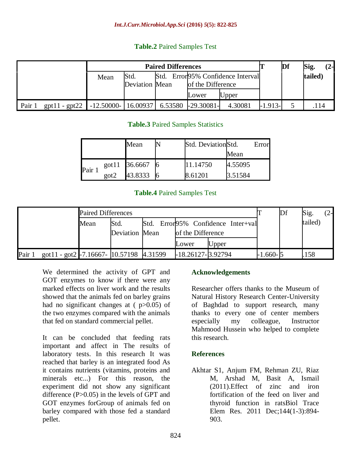# **Table.2** Paired Samples Test

|      |                 |               |                       | Df      | Sig.                               | (2-      |           |  |         |  |
|------|-----------------|---------------|-----------------------|---------|------------------------------------|----------|-----------|--|---------|--|
|      |                 | Mean          | Std.                  |         | Std. Error 95% Confidence Interval |          |           |  | tailed) |  |
|      |                 |               | <b>Deviation Mean</b> |         | of the Difference                  |          |           |  |         |  |
|      |                 |               |                       |         | Lower                              | $U$ pper |           |  |         |  |
| Pair | $gpt11 - gpt22$ | $-12.50000 -$ | 16.00937              | 6.53580 | $-29.30081-$                       | 4.30081  | $-1.913-$ |  | .114    |  |

# **Table.3** Paired Samples Statistics

|        |               | Mean          |    | Std. Deviation Std. |         | Error |
|--------|---------------|---------------|----|---------------------|---------|-------|
|        |               |               |    |                     | Mean    |       |
|        |               | got11 36.6667 |    | 11.14750            | 4.55095 |       |
| Pair 1 | $\text{got2}$ | 43.8333       | 16 | 8.61201             | 3.51584 |       |

# **Table.4** Paired Samples Test

|      |                                           | <b>Paired Differences</b> |                |  |                                    |       |  |          | Df      | Sig. | $(2 -$ |
|------|-------------------------------------------|---------------------------|----------------|--|------------------------------------|-------|--|----------|---------|------|--------|
|      |                                           | Mean                      | Std.           |  | Std. Error95% Confidence Inter+val |       |  |          | tailed) |      |        |
|      |                                           |                           | Deviation Mean |  | of the Difference<br>Lower         | Upper |  |          |         |      |        |
| Pair | got11 - got2 - 7.16667 - 10.57198 4.31599 |                           |                |  | $-18.26127 - 3.92794$              |       |  | 1.660-15 |         | 158  |        |

We determined the activity of GPT and GOT enzymes to know if there were any marked effects on liver work and the results showed that the animals fed on barley grains had no significant changes at  $(p>0.05)$  of the two enzymes compared with the animals that fed on standard commercial pellet.

It can be concluded that feeding rats important and affect in The results of laboratory tests. In this research It was reached that barley is an integrated food As it contains nutrients (vitamins, proteins and minerals etc...) For this reason, the experiment did not show any significant difference (P>0.05) in the levels of GPT and GOT enzymes forGroup of animals fed on barley compared with those fed a standard pellet.

# **Acknowledgements**

Researcher offers thanks to the Museum of Natural History Research Center-University of Baghdad to support research, many thanks to every one of center members especially my colleague, Instructor Mahmood Hussein who helped to complete this research.

# **References**

Akhtar S1, Anjum FM, Rehman ZU, Riaz M, Arshad M, Basit A, Ismail (2011).Effect of zinc and iron fortification of the feed on liver and thyroid function in ratsBiol Trace Elem Res. 2011 Dec;144(1-3):894- 903.